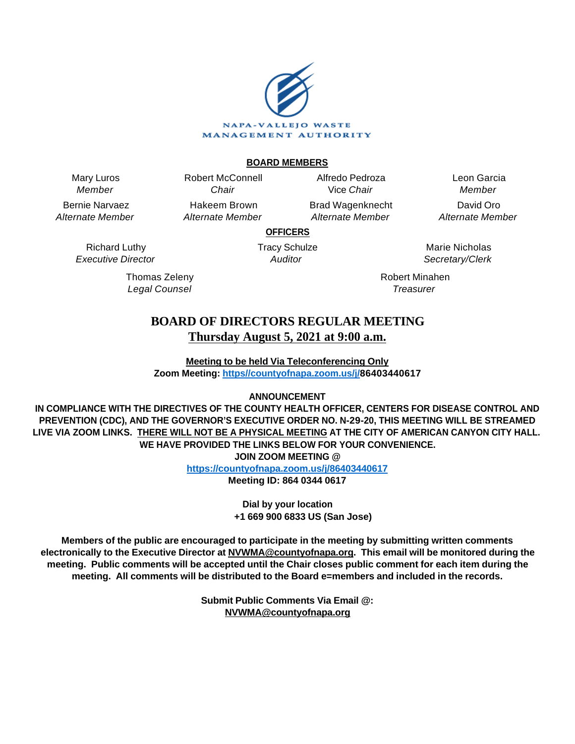

### **BOARD MEMBERS**

Mary Luros Member

Bernie Narvaez Alternate Member

> Richard Luthy Executive Director

> > Thomas Zeleny Legal Counsel

Chair Hakeem Brown Alternate Member

Robert McConnell

Alfredo Pedroza Vice Chair Brad Wagenknecht

Alternate Member

Leon Garcia Member David Oro Alternate Member

**OFFICERS**

Tracy Schulze Auditor

Marie Nicholas Secretary/Clerk

Robert Minahen **Treasurer** 

# **BOARD OF DIRECTORS REGULAR MEETING Thursday August 5, 2021 at 9:00 a.m.**

**Meeting to be held Via Teleconferencing Only Zoom Meeting: [https//countyofnapa.zoom.us/j/](http://intranetprod01/AgendaNet/Reports/https//countyofnapa.zoom.us/j/99111938225)86403440617**

**ANNOUNCEMENT**

**IN COMPLIANCE WITH THE DIRECTIVES OF THE COUNTY HEALTH OFFICER, CENTERS FOR DISEASE CONTROL AND PREVENTION (CDC), AND THE GOVERNOR'S EXECUTIVE ORDER NO. N-29-20, THIS MEETING WILL BE STREAMED LIVE VIA ZOOM LINKS. THERE WILL NOT BE A PHYSICAL MEETING AT THE CITY OF AMERICAN CANYON CITY HALL. WE HAVE PROVIDED THE LINKS BELOW FOR YOUR CONVENIENCE. JOIN ZOOM MEETING @**

**<https://countyofnapa.zoom.us/j/86403440617>**

**Meeting ID: 864 0344 0617**

**Dial by your location +1 669 900 6833 US (San Jose)**

**Members of the public are encouraged to participate in the meeting by submitting written comments electronically to the Executive Director at NVWMA@countyofnapa.org. This email will be monitored during the meeting. Public comments will be accepted until the Chair closes public comment for each item during the meeting. All comments will be distributed to the Board e=members and included in the records.**

> **Submit Public Comments Via Email @: NVWMA@countyofnapa.org**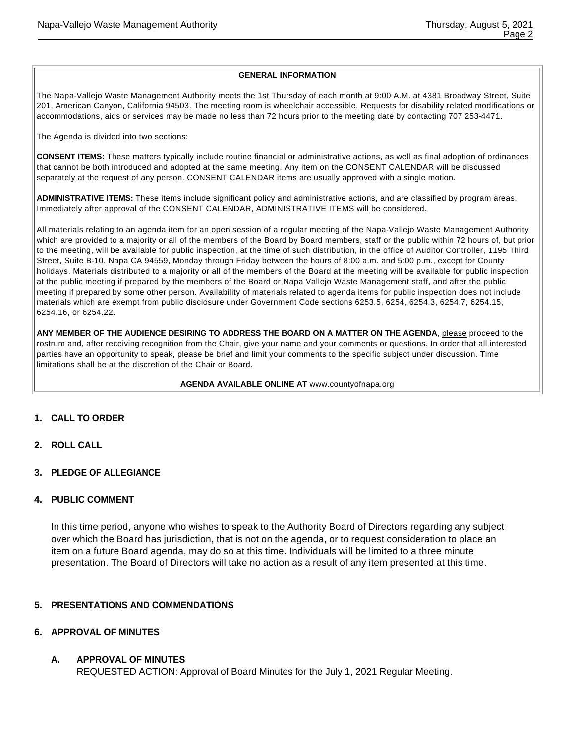#### **GENERAL INFORMATION**

The Napa-Vallejo Waste Management Authority meets the 1st Thursday of each month at 9:00 A.M. at 4381 Broadway Street, Suite 201, American Canyon, California 94503. The meeting room is wheelchair accessible. Requests for disability related modifications or accommodations, aids or services may be made no less than 72 hours prior to the meeting date by contacting 707 253-4471.

The Agenda is divided into two sections:

**CONSENT ITEMS:** These matters typically include routine financial or administrative actions, as well as final adoption of ordinances that cannot be both introduced and adopted at the same meeting. Any item on the CONSENT CALENDAR will be discussed separately at the request of any person. CONSENT CALENDAR items are usually approved with a single motion.

**ADMINISTRATIVE ITEMS:** These items include significant policy and administrative actions, and are classified by program areas. Immediately after approval of the CONSENT CALENDAR, ADMINISTRATIVE ITEMS will be considered.

All materials relating to an agenda item for an open session of a regular meeting of the Napa-Vallejo Waste Management Authority which are provided to a majority or all of the members of the Board by Board members, staff or the public within 72 hours of, but prior to the meeting, will be available for public inspection, at the time of such distribution, in the office of Auditor Controller, 1195 Third Street, Suite B-10, Napa CA 94559, Monday through Friday between the hours of 8:00 a.m. and 5:00 p.m., except for County holidays. Materials distributed to a majority or all of the members of the Board at the meeting will be available for public inspection at the public meeting if prepared by the members of the Board or Napa Vallejo Waste Management staff, and after the public meeting if prepared by some other person. Availability of materials related to agenda items for public inspection does not include materials which are exempt from public disclosure under Government Code sections 6253.5, 6254, 6254.3, 6254.7, 6254.15, 6254.16, or 6254.22.

ANY MEMBER OF THE AUDIENCE DESIRING TO ADDRESS THE BOARD ON A MATTER ON THE AGENDA, please proceed to the rostrum and, after receiving recognition from the Chair, give your name and your comments or questions. In order that all interested parties have an opportunity to speak, please be brief and limit your comments to the specific subject under discussion. Time limitations shall be at the discretion of the Chair or Board.

**AGENDA AVAILABLE ONLINE AT** www.countyofnapa.org

- **1. CALL TO ORDER**
- **2. ROLL CALL**
- **3. PLEDGE OF ALLEGIANCE**

#### **4. PUBLIC COMMENT**

In this time period, anyone who wishes to speak to the Authority Board of Directors regarding any subject over which the Board has jurisdiction, that is not on the agenda, or to request consideration to place an item on a future Board agenda, may do so at this time. Individuals will be limited to a three minute presentation. The Board of Directors will take no action as a result of any item presented at this time.

## **5. PRESENTATIONS AND COMMENDATIONS**

#### **6. APPROVAL OF MINUTES**

**A. APPROVAL OF MINUTES**

REQUESTED ACTION: Approval of Board Minutes for the July 1, 2021 Regular Meeting.